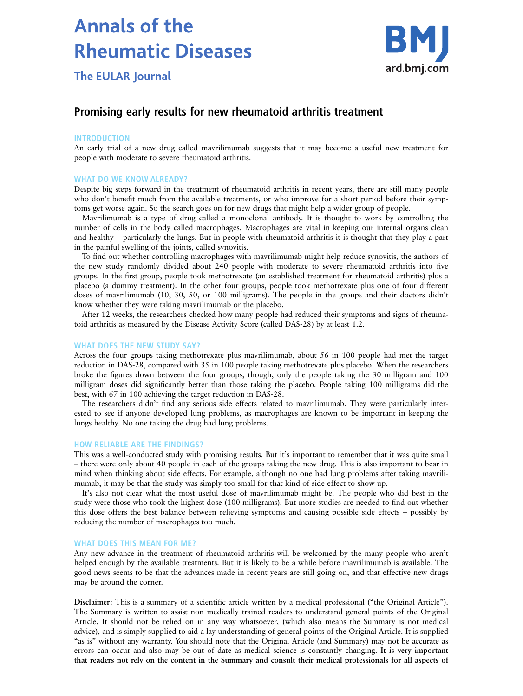# **Annals of the Rheumatic Diseases**



**The EULAR Journal** 

# Promising early results for new rheumatoid arthritis treatment

## INTRODUCTION

An early trial of a new drug called mavrilimumab suggests that it may become a useful new treatment for people with moderate to severe rheumatoid arthritis.

#### WHAT DO WE KNOW ALREADY?

Despite big steps forward in the treatment of rheumatoid arthritis in recent years, there are still many people who don't benefit much from the available treatments, or who improve for a short period before their symptoms get worse again. So the search goes on for new drugs that might help a wider group of people.

Mavrilimumab is a type of drug called a monoclonal antibody. It is thought to work by controlling the number of cells in the body called macrophages. Macrophages are vital in keeping our internal organs clean and healthy – particularly the lungs. But in people with rheumatoid arthritis it is thought that they play a part in the painful swelling of the joints, called synovitis.

To find out whether controlling macrophages with mavrilimumab might help reduce synovitis, the authors of the new study randomly divided about 240 people with moderate to severe rheumatoid arthritis into five groups. In the first group, people took methotrexate (an established treatment for rheumatoid arthritis) plus a placebo (a dummy treatment). In the other four groups, people took methotrexate plus one of four different doses of mavrilimumab (10, 30, 50, or 100 milligrams). The people in the groups and their doctors didn't know whether they were taking mavrilimumab or the placebo.

After 12 weeks, the researchers checked how many people had reduced their symptoms and signs of rheumatoid arthritis as measured by the Disease Activity Score (called DAS-28) by at least 1.2.

#### WHAT DOES THE NEW STUDY SAY?

Across the four groups taking methotrexate plus mavrilimumab, about 56 in 100 people had met the target reduction in DAS-28, compared with 35 in 100 people taking methotrexate plus placebo. When the researchers broke the figures down between the four groups, though, only the people taking the 30 milligram and 100 milligram doses did significantly better than those taking the placebo. People taking 100 milligrams did the best, with 67 in 100 achieving the target reduction in DAS-28.

The researchers didn't find any serious side effects related to mavrilimumab. They were particularly interested to see if anyone developed lung problems, as macrophages are known to be important in keeping the lungs healthy. No one taking the drug had lung problems.

#### HOW RELIABLE ARE THE FINDINGS?

This was a well-conducted study with promising results. But it's important to remember that it was quite small – there were only about 40 people in each of the groups taking the new drug. This is also important to bear in mind when thinking about side effects. For example, although no one had lung problems after taking mavrilimumab, it may be that the study was simply too small for that kind of side effect to show up.

It's also not clear what the most useful dose of mavrilimumab might be. The people who did best in the study were those who took the highest dose (100 milligrams). But more studies are needed to find out whether this dose offers the best balance between relieving symptoms and causing possible side effects – possibly by reducing the number of macrophages too much.

### WHAT DOES THIS MEAN FOR ME?

Any new advance in the treatment of rheumatoid arthritis will be welcomed by the many people who aren't helped enough by the available treatments. But it is likely to be a while before mavrilimumab is available. The good news seems to be that the advances made in recent years are still going on, and that effective new drugs may be around the corner.

Disclaimer: This is a summary of a scientific article written by a medical professional ("the Original Article"). The Summary is written to assist non medically trained readers to understand general points of the Original Article. It should not be relied on in any way whatsoever, (which also means the Summary is not medical advice), and is simply supplied to aid a lay understanding of general points of the Original Article. It is supplied "as is" without any warranty. You should note that the Original Article (and Summary) may not be accurate as errors can occur and also may be out of date as medical science is constantly changing. It is very important that readers not rely on the content in the Summary and consult their medical professionals for all aspects of